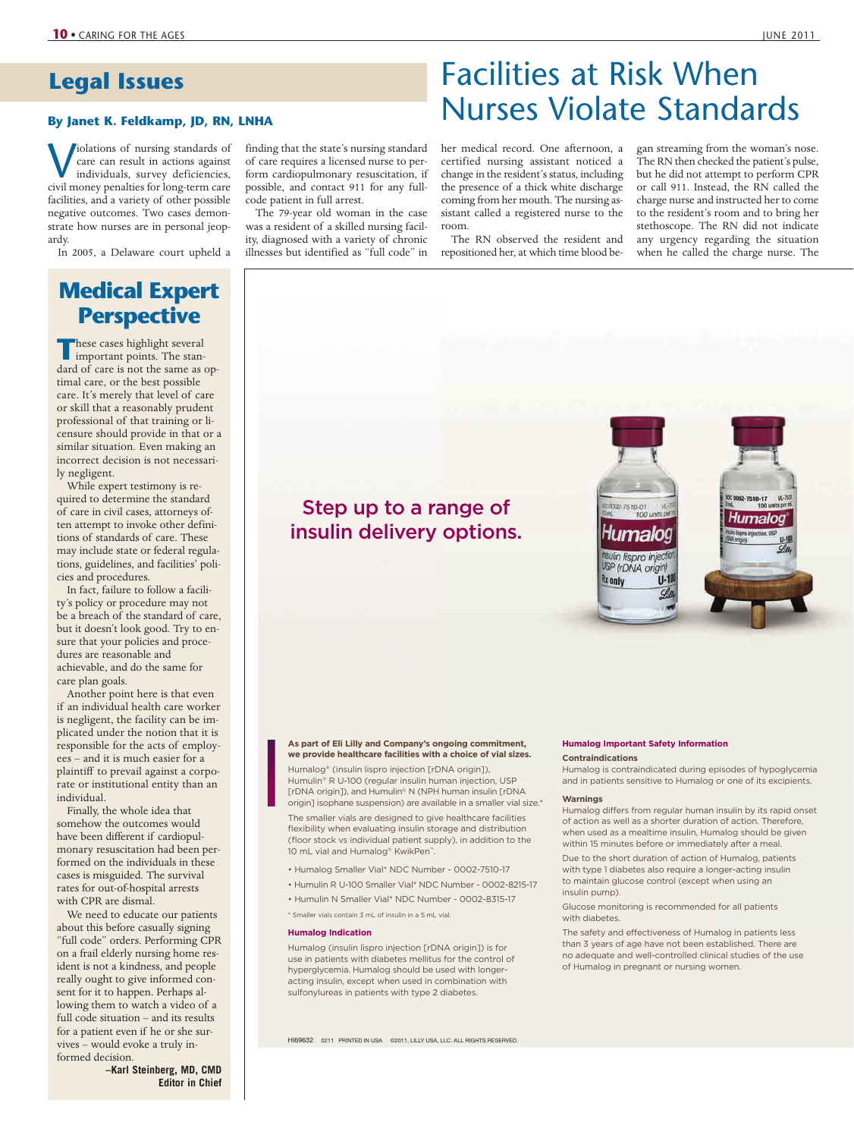# **Legal Issues**

# By Janet K. Feldkamp, JD, RN, LNHA<br>
By Janet K. Feldkamp, JD, RN, LNHA

Violations of nursing standards of<br>care can result in actions against<br>individuals, survey deficiencies,<br>civil money penalties for long-term care care can result in actions against individuals, survey deficiencies, civil money penalties for long-term care facilities, and a variety of other possible negative outcomes. Two cases demonstrate how nurses are in personal jeopardy.

In 2005, a Delaware court upheld a

# **Medical Expert Perspective**

**These cases highlight several important points. The stan**dard of care is not the same as optimal care, or the best possible care. It's merely that level of care or skill that a reasonably prudent professional of that training or licensure should provide in that or a similar situation. Even making an incorrect decision is not necessarily negligent.

While expert testimony is required to determine the standard of care in civil cases, attorneys often attempt to invoke other definitions of standards of care. These may include state or federal regulations, guidelines, and facilities' policies and procedures.

In fact, failure to follow a facility's policy or procedure may not be a breach of the standard of care, but it doesn't look good. Try to ensure that your policies and procedures are reasonable and achievable, and do the same for care plan goals.

Another point here is that even if an individual health care worker is negligent, the facility can be implicated under the notion that it is responsible for the acts of employees – and it is much easier for a plaintiff to prevail against a corporate or institutional entity than an individual.

Finally, the whole idea that somehow the outcomes would have been different if cardiopulmonary resuscitation had been performed on the individuals in these cases is misguided. The survival rates for out-of-hospital arrests with CPR are dismal.

We need to educate our patients about this before casually signing "full code" orders. Performing CPR on a frail elderly nursing home resident is not a kindness, and people really ought to give informed consent for it to happen. Perhaps allowing them to watch a video of a full code situation – and its results for a patient even if he or she survives – would evoke a truly informed decision.

**–Karl Steinberg, MD, CMD Editor in Chief**

finding that the state's nursing standard of care requires a licensed nurse to perform cardiopulmonary resuscitation, if possible, and contact 911 for any fullcode patient in full arrest.

The 79-year old woman in the case was a resident of a skilled nursing facility, diagnosed with a variety of chronic illnesses but identified as "full code" in

certified nursing assistant noticed a change in the resident's status, including the presence of a thick white discharge coming from her mouth. The nursing assistant called a registered nurse to the room.

her medical record. One afternoon, a

Facilities at Risk When

The RN observed the resident and repositioned her, at which time blood began streaming from the woman's nose. The RN then checked the patient's pulse, but he did not attempt to perform CPR or call 911. Instead, the RN called the charge nurse and instructed her to come to the resident's room and to bring her stethoscope. The RN did not indicate any urgency regarding the situation when he called the charge nurse. The



# **As part of Eli Lilly and Company's ongoing commitment, we provide healthcare facilities with a choice of vial sizes.**

Step up to a range of

insulin delivery options.

Humalog® (insulin lispro injection [rDNA origin]), Humulin® R U-100 (regular insulin human injection, USP [rDNA origin]), and Humulin® N (NPH human insulin [rDNA origin] isophane suspension) are available in a smaller vial size.\*

The smaller vials are designed to give healthcare facilities flexibility when evaluating insulin storage and distribution (floor stock vs individual patient supply), in addition to the 10 mL vial and Humalog® KwikPen™

- Humalog Smaller Vial\* NDC Number 0002-7510-17
- Humulin R U-100 Smaller Vial\* NDC Number 0002-8215-17
- Humulin N Smaller Vial\* NDC Number 0002-8315-17

\* Smaller vials contain 3 mL of insulin in a 5 mL vial.

## **Humalog Indication**

Humalog (insulin lispro injection [rDNA origin]) is for use in patients with diabetes mellitus for the control of hyperglycemia. Humalog should be used with longeracting insulin, except when used in combination with sulfonylureas in patients with type 2 diabetes.

HI69632 0211 PRINTED IN USA ©2011, LILLY USA, LLC. ALL RIGHTS RESERVED.

# **Humalog Important Safety Information**

**Contraindications** Humalog is contraindicated during episodes of hypoglycemia and in patients sensitive to Humalog or one of its excipients.

# **Warnings**

Humalog differs from regular human insulin by its rapid onset of action as well as a shorter duration of action. Therefore, when used as a mealtime insulin, Humalog should be given within 15 minutes before or immediately after a meal.

Due to the short duration of action of Humalog, patients with type 1 diabetes also require a longer-acting insulin to maintain glucose control (except when using an insulin pump).

Glucose monitoring is recommended for all patients with diabetes.

The safety and effectiveness of Humalog in patients less than 3 years of age have not been established. There are no adequate and well-controlled clinical studies of the use of Humalog in pregnant or nursing women.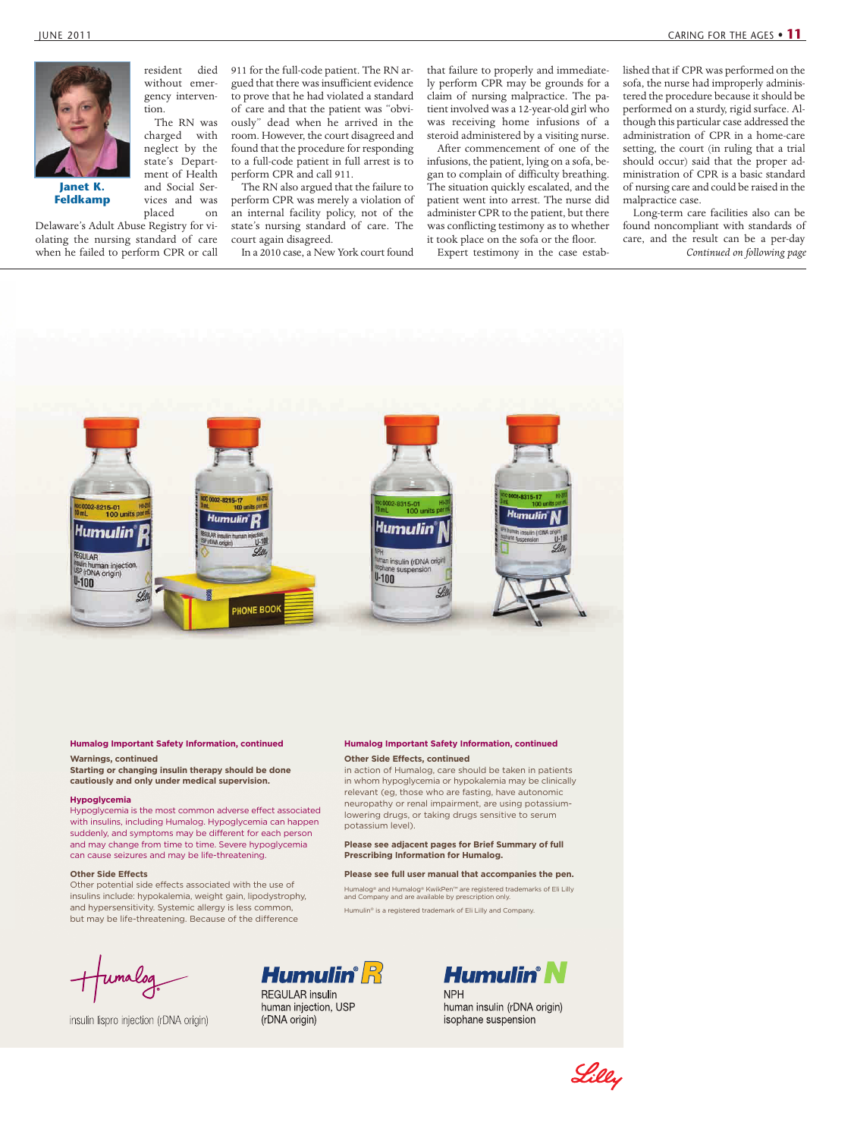

**Janet K. Feldkamp**

Delaware's Adult Abuse Registry for violating the nursing standard of care when he failed to perform CPR or call

resident died without emergency intervention. The RN was

charged with neglect by the state's Department of Health

and Social Services and was placed on

911 for the full-code patient. The RN argued that there was insufficient evidence to prove that he had violated a standard of care and that the patient was "obviously" dead when he arrived in the room. However, the court disagreed and found that the procedure for responding to a full-code patient in full arrest is to perform CPR and call 911.

The RN also argued that the failure to perform CPR was merely a violation of an internal facility policy, not of the state's nursing standard of care. The court again disagreed.

In a 2010 case, a New York court found

that failure to properly and immediately perform CPR may be grounds for a claim of nursing malpractice. The patient involved was a 12-year-old girl who was receiving home infusions of a steroid administered by a visiting nurse.

After commencement of one of the infusions, the patient, lying on a sofa, began to complain of difficulty breathing. The situation quickly escalated, and the patient went into arrest. The nurse did administer CPR to the patient, but there was conflicting testimony as to whether it took place on the sofa or the floor.

Expert testimony in the case estab-

lished that if CPR was performed on the sofa, the nurse had improperly administered the procedure because it should be performed on a sturdy, rigid surface. Although this particular case addressed the administration of CPR in a home-care setting, the court (in ruling that a trial should occur) said that the proper administration of CPR is a basic standard of nursing care and could be raised in the malpractice case.

Long-term care facilities also can be found noncompliant with standards of care, and the result can be a per-day *Continued on following page*



# **Humalog Important Safety Information, continued**

**Warnings, continued Starting or changing insulin therapy should be done cautiously and only under medical supervision.**

## **Hypoglycemia**

Hypoglycemia is the most common adverse effect associated with insulins, including Humalog. Hypoglycemia can happen suddenly, and symptoms may be different for each person and may change from time to time. Severe hypoglycemia can cause seizures and may be life-threatening.

#### **Other Side Effects**

Other potential side effects associated with the use of insulins include: hypokalemia, weight gain, lipodystrophy, and hypersensitivity. Systemic allergy is less common, but may be life-threatening. Because of the difference

insulin lispro injection (rDNA origin)

# **Humalog Important Safety Information, continued Other Side Effects, continued**

in action of Humalog, care should be taken in patients in whom hypoglycemia or hypokalemia may be clinically relevant (eg, those who are fasting, have autonomic neuropathy or renal impairment, are using potassiumlowering drugs, or taking drugs sensitive to serum potassium level).

**Please see adjacent pages for Brief Summary of full Prescribing Information for Humalog.**

### **Please see full user manual that accompanies the pen.**

Humalog® and Humalog® KwikPen™ are registered trademarks of Eli Lilly and Company and are available by prescription only. Humulin® is a registered trademark of Eli Lilly and Company.



**REGULAR** insulin human injection, USP (rDNA origin)



**NPH** human insulin (rDNA origin) isophane suspension